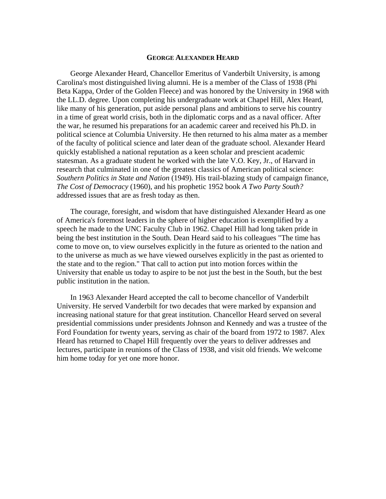#### **GEORGE ALEXANDER HEARD**

George Alexander Heard, Chancellor Emeritus of Vanderbilt University, is among Carolina's most distinguished living alumni. He is a member of the Class of 1938 (Phi Beta Kappa, Order of the Golden Fleece) and was honored by the University in 1968 with the LL.D. degree. Upon completing his undergraduate work at Chapel Hill, Alex Heard, like many of his generation, put aside personal plans and ambitions to serve his country in a time of great world crisis, both in the diplomatic corps and as a naval officer. After the war, he resumed his preparations for an academic career and received his Ph.D. in political science at Columbia University. He then returned to his alma mater as a member of the faculty of political science and later dean of the graduate school. Alexander Heard quickly established a national reputation as a keen scholar and prescient academic statesman. As a graduate student he worked with the late V.O. Key, Jr., of Harvard in research that culminated in one of the greatest classics of American political science: *Southern Politics in State and Nation* (1949). His trail-blazing study of campaign finance, *The Cost of Democracy* (1960), and his prophetic 1952 book *A Two Party South?* addressed issues that are as fresh today as then.

The courage, foresight, and wisdom that have distinguished Alexander Heard as one of America's foremost leaders in the sphere of higher education is exemplified by a speech he made to the UNC Faculty Club in 1962. Chapel Hill had long taken pride in being the best institution in the South. Dean Heard said to his colleagues "The time has come to move on, to view ourselves explicitly in the future as oriented to the nation and to the universe as much as we have viewed ourselves explicitly in the past as oriented to the state and to the region." That call to action put into motion forces within the University that enable us today to aspire to be not just the best in the South, but the best public institution in the nation.

In 1963 Alexander Heard accepted the call to become chancellor of Vanderbilt University. He served Vanderbilt for two decades that were marked by expansion and increasing national stature for that great institution. Chancellor Heard served on several presidential commissions under presidents Johnson and Kennedy and was a trustee of the Ford Foundation for twenty years, serving as chair of the board from 1972 to 1987. Alex Heard has returned to Chapel Hill frequently over the years to deliver addresses and lectures, participate in reunions of the Class of 1938, and visit old friends. We welcome him home today for yet one more honor.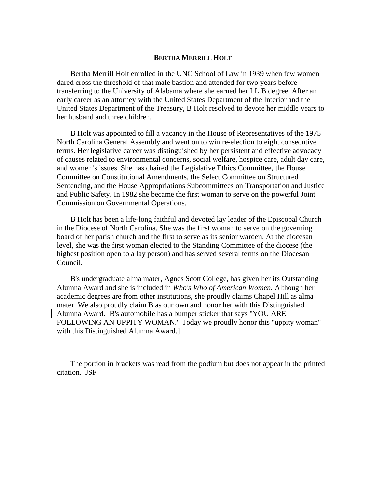# **BERTHA MERRILL HOLT**

Bertha Merrill Holt enrolled in the UNC School of Law in 1939 when few women dared cross the threshold of that male bastion and attended for two years before transferring to the University of Alabama where she earned her LL.B degree. After an early career as an attorney with the United States Department of the Interior and the United States Department of the Treasury, B Holt resolved to devote her middle years to her husband and three children.

B Holt was appointed to fill a vacancy in the House of Representatives of the 1975 North Carolina General Assembly and went on to win re-election to eight consecutive terms. Her legislative career was distinguished by her persistent and effective advocacy of causes related to environmental concerns, social welfare, hospice care, adult day care, and women's issues. She has chaired the Legislative Ethics Committee, the House Committee on Constitutional Amendments, the Select Committee on Structured Sentencing, and the House Appropriations Subcommittees on Transportation and Justice and Public Safety. In 1982 she became the first woman to serve on the powerful Joint Commission on Governmental Operations.

B Holt has been a life-long faithful and devoted lay leader of the Episcopal Church in the Diocese of North Carolina. She was the first woman to serve on the governing board of her parish church and the first to serve as its senior warden. At the diocesan level, she was the first woman elected to the Standing Committee of the diocese (the highest position open to a lay person) and has served several terms on the Diocesan Council.

B's undergraduate alma mater, Agnes Scott College, has given her its Outstanding Alumna Award and she is included in *Who's Who of American Women*. Although her academic degrees are from other institutions, she proudly claims Chapel Hill as alma mater. We also proudly claim B as our own and honor her with this Distinguished Alumna Award. [B's automobile has a bumper sticker that says "YOU ARE FOLLOWING AN UPPITY WOMAN." Today we proudly honor this "uppity woman" with this Distinguished Alumna Award.]

The portion in brackets was read from the podium but does not appear in the printed citation. JSF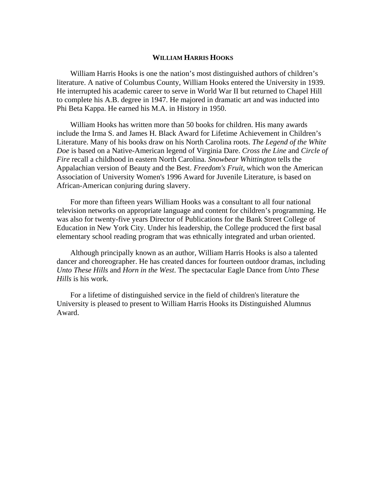# **WILLIAM HARRIS HOOKS**

William Harris Hooks is one the nation's most distinguished authors of children's literature. A native of Columbus County, William Hooks entered the University in 1939. He interrupted his academic career to serve in World War II but returned to Chapel Hill to complete his A.B. degree in 1947. He majored in dramatic art and was inducted into Phi Beta Kappa. He earned his M.A. in History in 1950.

William Hooks has written more than 50 books for children. His many awards include the Irma S. and James H. Black Award for Lifetime Achievement in Children's Literature. Many of his books draw on his North Carolina roots. *The Legend of the White Doe* is based on a Native-American legend of Virginia Dare. *Cross the Line* and *Circle of Fire* recall a childhood in eastern North Carolina. *Snowbear Whittington* tells the Appalachian version of Beauty and the Best. *Freedom's Fruit*, which won the American Association of University Women's 1996 Award for Juvenile Literature, is based on African-American conjuring during slavery.

For more than fifteen years William Hooks was a consultant to all four national television networks on appropriate language and content for children's programming. He was also for twenty-five years Director of Publications for the Bank Street College of Education in New York City. Under his leadership, the College produced the first basal elementary school reading program that was ethnically integrated and urban oriented.

Although principally known as an author, William Harris Hooks is also a talented dancer and choreographer. He has created dances for fourteen outdoor dramas, including *Unto These Hills* and *Horn in the West*. The spectacular Eagle Dance from *Unto These Hills* is his work.

For a lifetime of distinguished service in the field of children's literature the University is pleased to present to William Harris Hooks its Distinguished Alumnus Award.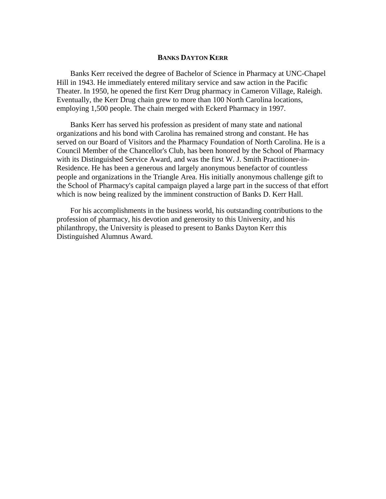# **BANKS DAYTON KERR**

Banks Kerr received the degree of Bachelor of Science in Pharmacy at UNC-Chapel Hill in 1943. He immediately entered military service and saw action in the Pacific Theater. In 1950, he opened the first Kerr Drug pharmacy in Cameron Village, Raleigh. Eventually, the Kerr Drug chain grew to more than 100 North Carolina locations, employing 1,500 people. The chain merged with Eckerd Pharmacy in 1997.

Banks Kerr has served his profession as president of many state and national organizations and his bond with Carolina has remained strong and constant. He has served on our Board of Visitors and the Pharmacy Foundation of North Carolina. He is a Council Member of the Chancellor's Club, has been honored by the School of Pharmacy with its Distinguished Service Award, and was the first W. J. Smith Practitioner-in-Residence. He has been a generous and largely anonymous benefactor of countless people and organizations in the Triangle Area. His initially anonymous challenge gift to the School of Pharmacy's capital campaign played a large part in the success of that effort which is now being realized by the imminent construction of Banks D. Kerr Hall.

For his accomplishments in the business world, his outstanding contributions to the profession of pharmacy, his devotion and generosity to this University, and his philanthropy, the University is pleased to present to Banks Dayton Kerr this Distinguished Alumnus Award.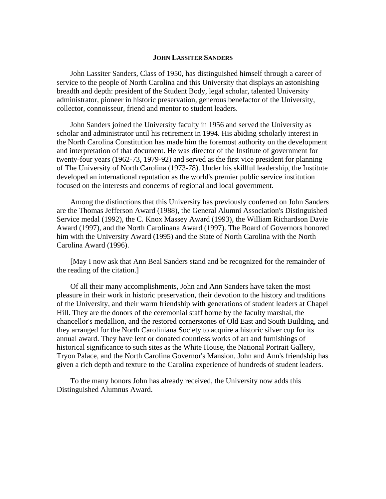#### **JOHN LASSITER SANDERS**

John Lassiter Sanders, Class of 1950, has distinguished himself through a career of service to the people of North Carolina and this University that displays an astonishing breadth and depth: president of the Student Body, legal scholar, talented University administrator, pioneer in historic preservation, generous benefactor of the University, collector, connoisseur, friend and mentor to student leaders.

John Sanders joined the University faculty in 1956 and served the University as scholar and administrator until his retirement in 1994. His abiding scholarly interest in the North Carolina Constitution has made him the foremost authority on the development and interpretation of that document. He was director of the Institute of government for twenty-four years (1962-73, 1979-92) and served as the first vice president for planning of The University of North Carolina (1973-78). Under his skillful leadership, the Institute developed an international reputation as the world's premier public service institution focused on the interests and concerns of regional and local government.

Among the distinctions that this University has previously conferred on John Sanders are the Thomas Jefferson Award (1988), the General Alumni Association's Distinguished Service medal (1992), the C. Knox Massey Award (1993), the William Richardson Davie Award (1997), and the North Carolinana Award (1997). The Board of Governors honored him with the University Award (1995) and the State of North Carolina with the North Carolina Award (1996).

[May I now ask that Ann Beal Sanders stand and be recognized for the remainder of the reading of the citation.]

Of all their many accomplishments, John and Ann Sanders have taken the most pleasure in their work in historic preservation, their devotion to the history and traditions of the University, and their warm friendship with generations of student leaders at Chapel Hill. They are the donors of the ceremonial staff borne by the faculty marshal, the chancellor's medallion, and the restored cornerstones of Old East and South Building, and they arranged for the North Caroliniana Society to acquire a historic silver cup for its annual award. They have lent or donated countless works of art and furnishings of historical significance to such sites as the White House, the National Portrait Gallery, Tryon Palace, and the North Carolina Governor's Mansion. John and Ann's friendship has given a rich depth and texture to the Carolina experience of hundreds of student leaders.

To the many honors John has already received, the University now adds this Distinguished Alumnus Award.